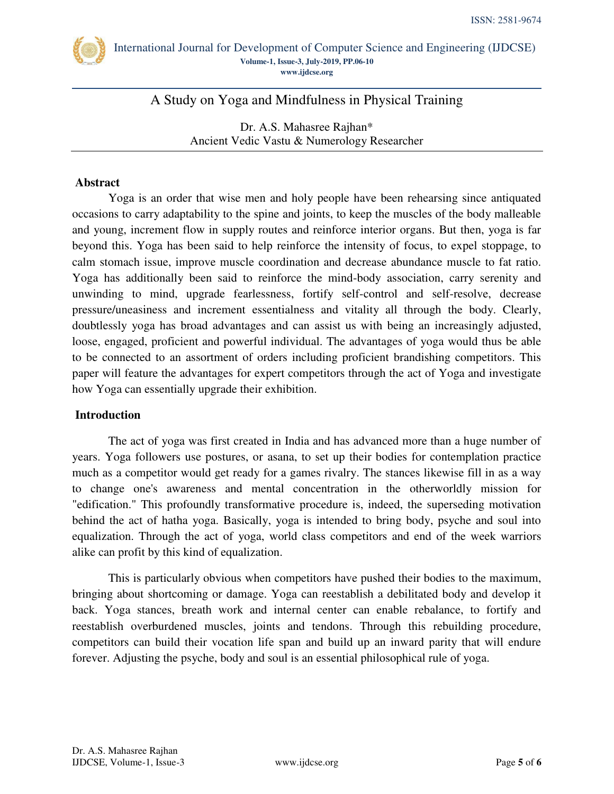

A Study on Yoga and Mindfulness in Physical Training

Dr. A.S. Mahasree Rajhan\* Ancient Vedic Vastu & Numerology Researcher

## **Abstract**

Yoga is an order that wise men and holy people have been rehearsing since antiquated occasions to carry adaptability to the spine and joints, to keep the muscles of the body malleable and young, increment flow in supply routes and reinforce interior organs. But then, yoga is far beyond this. Yoga has been said to help reinforce the intensity of focus, to expel stoppage, to calm stomach issue, improve muscle coordination and decrease abundance muscle to fat ratio. Yoga has additionally been said to reinforce the mind-body association, carry serenity and unwinding to mind, upgrade fearlessness, fortify self-control and self-resolve, decrease pressure/uneasiness and increment essentialness and vitality all through the body. Clearly, doubtlessly yoga has broad advantages and can assist us with being an increasingly adjusted, loose, engaged, proficient and powerful individual. The advantages of yoga would thus be able to be connected to an assortment of orders including proficient brandishing competitors. This paper will feature the advantages for expert competitors through the act of Yoga and investigate how Yoga can essentially upgrade their exhibition.

## **Introduction**

The act of yoga was first created in India and has advanced more than a huge number of years. Yoga followers use postures, or asana, to set up their bodies for contemplation practice much as a competitor would get ready for a games rivalry. The stances likewise fill in as a way to change one's awareness and mental concentration in the otherworldly mission for "edification." This profoundly transformative procedure is, indeed, the superseding motivation behind the act of hatha yoga. Basically, yoga is intended to bring body, psyche and soul into equalization. Through the act of yoga, world class competitors and end of the week warriors alike can profit by this kind of equalization.

This is particularly obvious when competitors have pushed their bodies to the maximum, bringing about shortcoming or damage. Yoga can reestablish a debilitated body and develop it back. Yoga stances, breath work and internal center can enable rebalance, to fortify and reestablish overburdened muscles, joints and tendons. Through this rebuilding procedure, competitors can build their vocation life span and build up an inward parity that will endure forever. Adjusting the psyche, body and soul is an essential philosophical rule of yoga.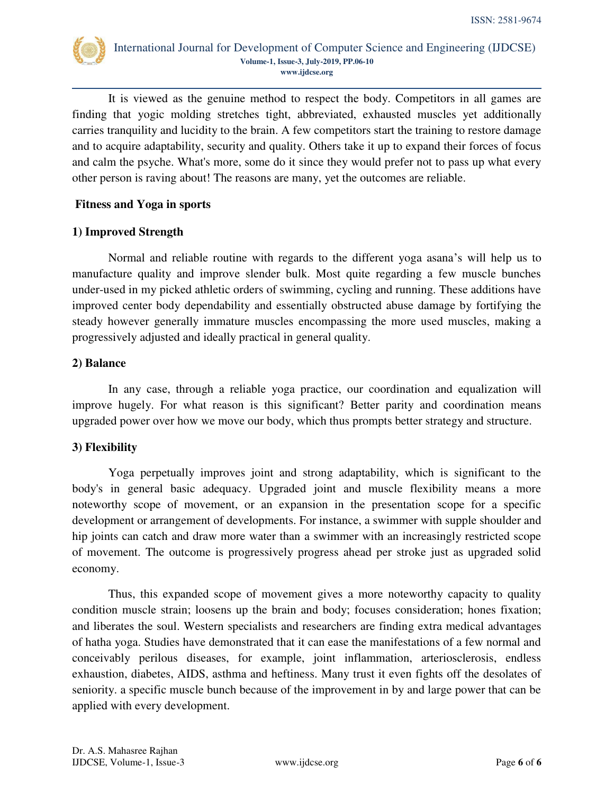

It is viewed as the genuine method to respect the body. Competitors in all games are finding that yogic molding stretches tight, abbreviated, exhausted muscles yet additionally carries tranquility and lucidity to the brain. A few competitors start the training to restore damage and to acquire adaptability, security and quality. Others take it up to expand their forces of focus and calm the psyche. What's more, some do it since they would prefer not to pass up what every other person is raving about! The reasons are many, yet the outcomes are reliable.

## **Fitness and Yoga in sports**

## **1) Improved Strength**

Normal and reliable routine with regards to the different yoga asana's will help us to manufacture quality and improve slender bulk. Most quite regarding a few muscle bunches under-used in my picked athletic orders of swimming, cycling and running. These additions have improved center body dependability and essentially obstructed abuse damage by fortifying the steady however generally immature muscles encompassing the more used muscles, making a progressively adjusted and ideally practical in general quality.

## **2) Balance**

In any case, through a reliable yoga practice, our coordination and equalization will improve hugely. For what reason is this significant? Better parity and coordination means upgraded power over how we move our body, which thus prompts better strategy and structure.

# **3) Flexibility**

Yoga perpetually improves joint and strong adaptability, which is significant to the body's in general basic adequacy. Upgraded joint and muscle flexibility means a more noteworthy scope of movement, or an expansion in the presentation scope for a specific development or arrangement of developments. For instance, a swimmer with supple shoulder and hip joints can catch and draw more water than a swimmer with an increasingly restricted scope of movement. The outcome is progressively progress ahead per stroke just as upgraded solid economy.

Thus, this expanded scope of movement gives a more noteworthy capacity to quality condition muscle strain; loosens up the brain and body; focuses consideration; hones fixation; and liberates the soul. Western specialists and researchers are finding extra medical advantages of hatha yoga. Studies have demonstrated that it can ease the manifestations of a few normal and conceivably perilous diseases, for example, joint inflammation, arteriosclerosis, endless exhaustion, diabetes, AIDS, asthma and heftiness. Many trust it even fights off the desolates of seniority. a specific muscle bunch because of the improvement in by and large power that can be applied with every development.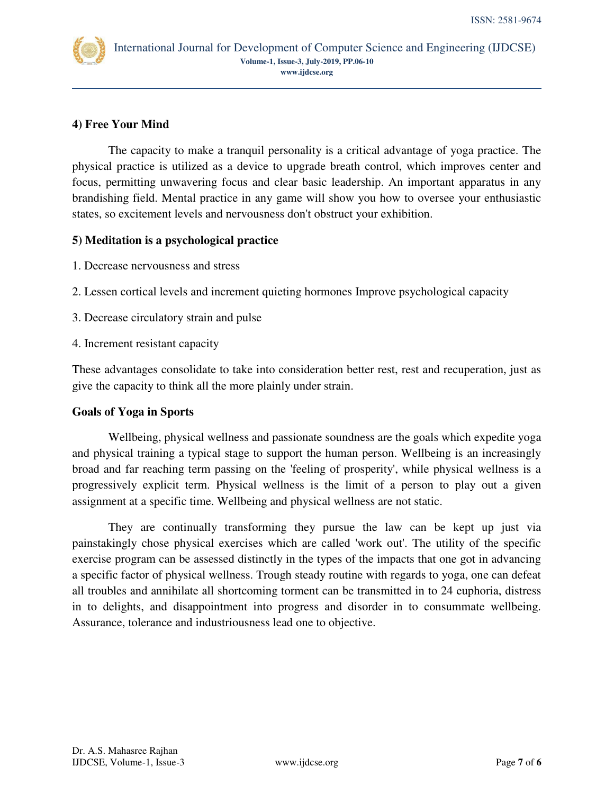

# **4) Free Your Mind**

The capacity to make a tranquil personality is a critical advantage of yoga practice. The physical practice is utilized as a device to upgrade breath control, which improves center and focus, permitting unwavering focus and clear basic leadership. An important apparatus in any brandishing field. Mental practice in any game will show you how to oversee your enthusiastic states, so excitement levels and nervousness don't obstruct your exhibition.

## **5) Meditation is a psychological practice**

- 1. Decrease nervousness and stress
- 2. Lessen cortical levels and increment quieting hormones Improve psychological capacity
- 3. Decrease circulatory strain and pulse
- 4. Increment resistant capacity

These advantages consolidate to take into consideration better rest, rest and recuperation, just as give the capacity to think all the more plainly under strain.

## **Goals of Yoga in Sports**

Wellbeing, physical wellness and passionate soundness are the goals which expedite yoga and physical training a typical stage to support the human person. Wellbeing is an increasingly broad and far reaching term passing on the 'feeling of prosperity', while physical wellness is a progressively explicit term. Physical wellness is the limit of a person to play out a given assignment at a specific time. Wellbeing and physical wellness are not static.

They are continually transforming they pursue the law can be kept up just via painstakingly chose physical exercises which are called 'work out'. The utility of the specific exercise program can be assessed distinctly in the types of the impacts that one got in advancing a specific factor of physical wellness. Trough steady routine with regards to yoga, one can defeat all troubles and annihilate all shortcoming torment can be transmitted in to 24 euphoria, distress in to delights, and disappointment into progress and disorder in to consummate wellbeing. Assurance, tolerance and industriousness lead one to objective.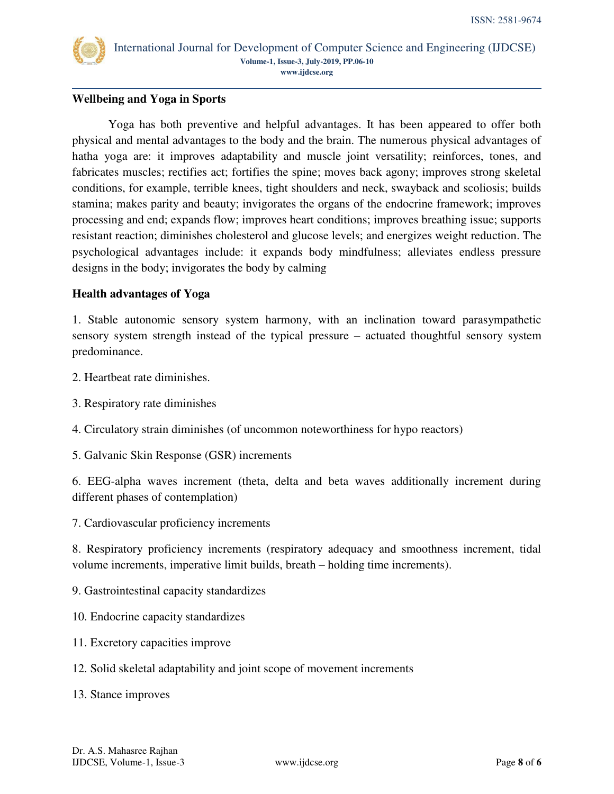

## **Wellbeing and Yoga in Sports**

Yoga has both preventive and helpful advantages. It has been appeared to offer both physical and mental advantages to the body and the brain. The numerous physical advantages of hatha yoga are: it improves adaptability and muscle joint versatility; reinforces, tones, and fabricates muscles; rectifies act; fortifies the spine; moves back agony; improves strong skeletal conditions, for example, terrible knees, tight shoulders and neck, swayback and scoliosis; builds stamina; makes parity and beauty; invigorates the organs of the endocrine framework; improves processing and end; expands flow; improves heart conditions; improves breathing issue; supports resistant reaction; diminishes cholesterol and glucose levels; and energizes weight reduction. The psychological advantages include: it expands body mindfulness; alleviates endless pressure designs in the body; invigorates the body by calming

## **Health advantages of Yoga**

1. Stable autonomic sensory system harmony, with an inclination toward parasympathetic sensory system strength instead of the typical pressure – actuated thoughtful sensory system predominance.

- 2. Heartbeat rate diminishes.
- 3. Respiratory rate diminishes
- 4. Circulatory strain diminishes (of uncommon noteworthiness for hypo reactors)
- 5. Galvanic Skin Response (GSR) increments

6. EEG-alpha waves increment (theta, delta and beta waves additionally increment during different phases of contemplation)

7. Cardiovascular proficiency increments

8. Respiratory proficiency increments (respiratory adequacy and smoothness increment, tidal volume increments, imperative limit builds, breath – holding time increments).

- 9. Gastrointestinal capacity standardizes
- 10. Endocrine capacity standardizes
- 11. Excretory capacities improve
- 12. Solid skeletal adaptability and joint scope of movement increments
- 13. Stance improves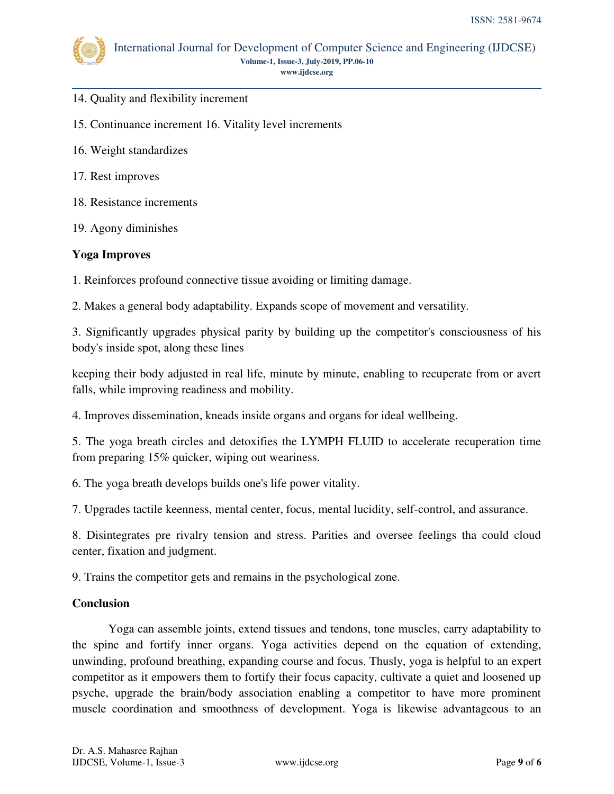

- 14. Quality and flexibility increment
- 15. Continuance increment 16. Vitality level increments
- 16. Weight standardizes
- 17. Rest improves
- 18. Resistance increments
- 19. Agony diminishes

#### **Yoga Improves**

1. Reinforces profound connective tissue avoiding or limiting damage.

2. Makes a general body adaptability. Expands scope of movement and versatility.

3. Significantly upgrades physical parity by building up the competitor's consciousness of his body's inside spot, along these lines

keeping their body adjusted in real life, minute by minute, enabling to recuperate from or avert falls, while improving readiness and mobility.

4. Improves dissemination, kneads inside organs and organs for ideal wellbeing.

5. The yoga breath circles and detoxifies the LYMPH FLUID to accelerate recuperation time from preparing 15% quicker, wiping out weariness.

6. The yoga breath develops builds one's life power vitality.

7. Upgrades tactile keenness, mental center, focus, mental lucidity, self-control, and assurance.

8. Disintegrates pre rivalry tension and stress. Parities and oversee feelings tha could cloud center, fixation and judgment.

9. Trains the competitor gets and remains in the psychological zone.

#### **Conclusion**

 Yoga can assemble joints, extend tissues and tendons, tone muscles, carry adaptability to the spine and fortify inner organs. Yoga activities depend on the equation of extending, unwinding, profound breathing, expanding course and focus. Thusly, yoga is helpful to an expert competitor as it empowers them to fortify their focus capacity, cultivate a quiet and loosened up psyche, upgrade the brain/body association enabling a competitor to have more prominent muscle coordination and smoothness of development. Yoga is likewise advantageous to an